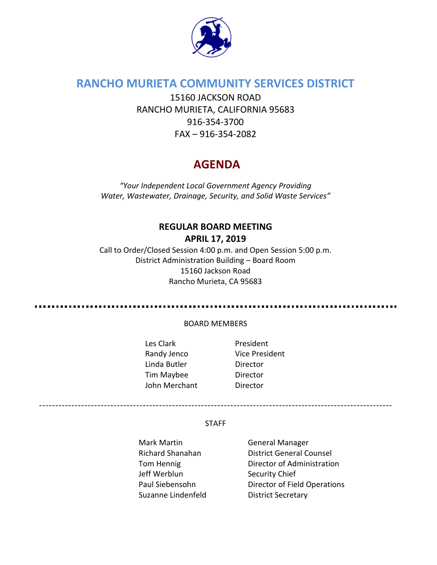

# **RANCHO MURIETA COMMUNITY SERVICES DISTRICT**

15160 JACKSON ROAD RANCHO MURIETA, CALIFORNIA 95683 916-354-3700 FAX – 916-354-2082

# **AGENDA**

*"Your Independent Local Government Agency Providing Water, Wastewater, Drainage, Security, and Solid Waste Services"*

# **REGULAR BOARD MEETING APRIL 17, 2019**

Call to Order/Closed Session 4:00 p.m. and Open Session 5:00 p.m. District Administration Building – Board Room 15160 Jackson Road Rancho Murieta, CA 95683

................................... . . . . . . .

#### BOARD MEMBERS

- Les Clark **President** Randy Jenco Vice President Linda Butler Director Tim Maybee Director John Merchant Director
	-

#### STAFF

-------------------------------------------------------------------------------------------------------------

- Mark Martin General Manager Jeff Werblun Security Chief Suzanne Lindenfeld District Secretary
- Richard Shanahan **District General Counsel** Tom Hennig **Director of Administration** Paul Siebensohn Director of Field Operations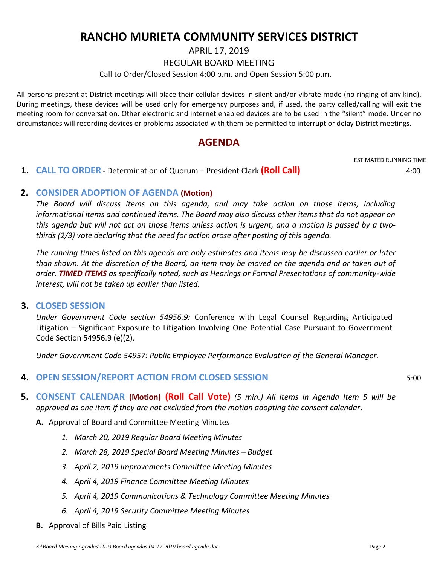# **RANCHO MURIETA COMMUNITY SERVICES DISTRICT**

APRIL 17, 2019

REGULAR BOARD MEETING

Call to Order/Closed Session 4:00 p.m. and Open Session 5:00 p.m.

All persons present at District meetings will place their cellular devices in silent and/or vibrate mode (no ringing of any kind). During meetings, these devices will be used only for emergency purposes and, if used, the party called/calling will exit the meeting room for conversation. Other electronic and internet enabled devices are to be used in the "silent" mode. Under no circumstances will recording devices or problems associated with them be permitted to interrupt or delay District meetings.

### **AGENDA**

ESTIMATED RUNNING TIME

 **1. CALL TO ORDER** - Determination of Quorum – President Clark **(Roll Call)** 4:00

### **2. CONSIDER ADOPTION OF AGENDA (Motion)**

*The Board will discuss items on this agenda, and may take action on those items, including informational items and continued items. The Board may also discuss other items that do not appear on this agenda but will not act on those items unless action is urgent, and a motion is passed by a twothirds (2/3) vote declaring that the need for action arose after posting of this agenda.*

*The running times listed on this agenda are only estimates and items may be discussed earlier or later than shown. At the discretion of the Board, an item may be moved on the agenda and or taken out of order. TIMED ITEMS as specifically noted, such as Hearings or Formal Presentations of community-wide interest, will not be taken up earlier than listed.*

#### **3. CLOSED SESSION**

*Under Government Code section 54956.9:* Conference with Legal Counsel Regarding Anticipated Litigation – Significant Exposure to Litigation Involving One Potential Case Pursuant to Government Code Section 54956.9 (e)(2).

*Under Government Code 54957: Public Employee Performance Evaluation of the General Manager.*

### **4. OPEN SESSION/REPORT ACTION FROM CLOSED SESSION** 5:00

- **5. CONSENT CALENDAR (Motion) (Roll Call Vote)** *(5 min.) All items in Agenda Item 5 will be approved as one item if they are not excluded from the motion adopting the consent calendar*.
	- **A.** Approval of Board and Committee Meeting Minutes
		- *1. March 20, 2019 Regular Board Meeting Minutes*
		- *2. March 28, 2019 Special Board Meeting Minutes – Budget*
		- *3. April 2, 2019 Improvements Committee Meeting Minutes*
		- *4. April 4, 2019 Finance Committee Meeting Minutes*
		- *5. April 4, 2019 Communications & Technology Committee Meeting Minutes*
		- *6. April 4, 2019 Security Committee Meeting Minutes*
	- **B.** Approval of Bills Paid Listing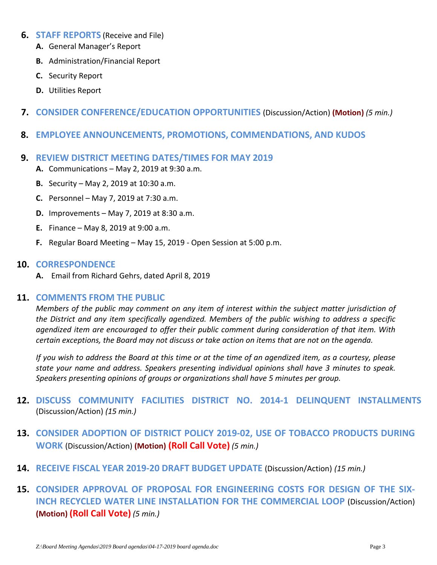- **6. STAFF REPORTS** (Receive and File)
	- **A.** General Manager's Report
	- **B.** Administration/Financial Report
	- **C.** Security Report
	- **D.** Utilities Report
- **7. CONSIDER CONFERENCE/EDUCATION OPPORTUNITIES** (Discussion/Action) **(Motion)** *(5 min.)*
- **8. EMPLOYEE ANNOUNCEMENTS, PROMOTIONS, COMMENDATIONS, AND KUDOS**
- **9. REVIEW DISTRICT MEETING DATES/TIMES FOR MAY 2019**
	- **A.** Communications May 2, 2019 at 9:30 a.m.
	- **B.** Security May 2, 2019 at 10:30 a.m.
	- **C.** Personnel May 7, 2019 at 7:30 a.m.
	- **D.** Improvements May 7, 2019 at 8:30 a.m.
	- **E.** Finance May 8, 2019 at 9:00 a.m.
	- **F.** Regular Board Meeting May 15, 2019 Open Session at 5:00 p.m.

#### **10. CORRESPONDENCE**

**A.** Email from Richard Gehrs, dated April 8, 2019

#### **11. COMMENTS FROM THE PUBLIC**

*Members of the public may comment on any item of interest within the subject matter jurisdiction of the District and any item specifically agendized. Members of the public wishing to address a specific agendized item are encouraged to offer their public comment during consideration of that item. With certain exceptions, the Board may not discuss or take action on items that are not on the agenda.* 

*If you wish to address the Board at this time or at the time of an agendized item, as a courtesy, please state your name and address. Speakers presenting individual opinions shall have 3 minutes to speak. Speakers presenting opinions of groups or organizations shall have 5 minutes per group.*

- **12. DISCUSS COMMUNITY FACILITIES DISTRICT NO. 2014-1 DELINQUENT INSTALLMENTS** (Discussion/Action) *(15 min.)*
- **13. CONSIDER ADOPTION OF DISTRICT POLICY 2019-02, USE OF TOBACCO PRODUCTS DURING WORK** (Discussion/Action) **(Motion) (Roll Call Vote)** *(5 min.)*
- **14. RECEIVE FISCAL YEAR 2019-20 DRAFT BUDGET UPDATE** (Discussion/Action) *(15 min.)*
- **15. CONSIDER APPROVAL OF PROPOSAL FOR ENGINEERING COSTS FOR DESIGN OF THE SIX-INCH RECYCLED WATER LINE INSTALLATION FOR THE COMMERCIAL LOOP** (Discussion/Action) **(Motion) (Roll Call Vote)** *(5 min.)*